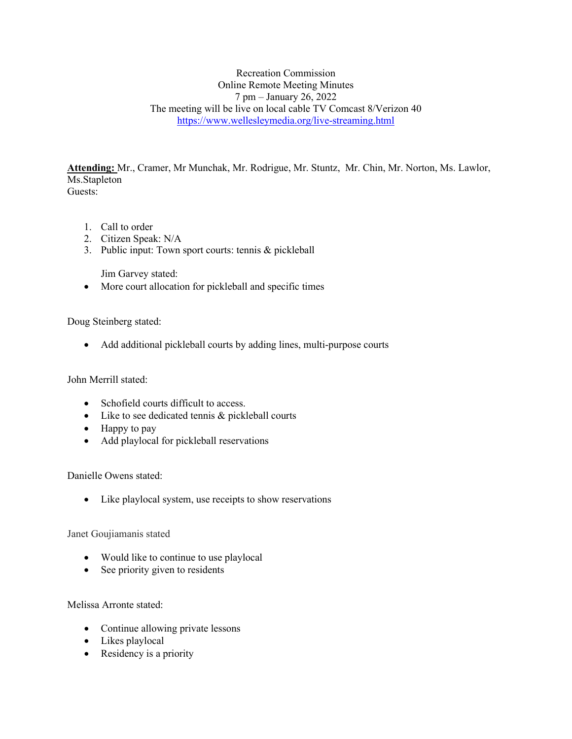Recreation Commission Online Remote Meeting Minutes 7 pm – January 26, 2022 The meeting will be live on local cable TV Comcast 8/Verizon 40 <https://www.wellesleymedia.org/live-streaming.html>

**Attending:** Mr., Cramer, Mr Munchak, Mr. Rodrigue, Mr. Stuntz, Mr. Chin, Mr. Norton, Ms. Lawlor, Ms.Stapleton Guests:

- 1. Call to order
- 2. Citizen Speak: N/A
- 3. Public input: Town sport courts: tennis & pickleball

Jim Garvey stated:

• More court allocation for pickleball and specific times

Doug Steinberg stated:

• Add additional pickleball courts by adding lines, multi-purpose courts

John Merrill stated:

- Schofield courts difficult to access.
- Like to see dedicated tennis & pickleball courts
- Happy to pay
- Add playlocal for pickleball reservations

Danielle Owens stated:

• Like playlocal system, use receipts to show reservations

Janet Goujiamanis stated

- Would like to continue to use playlocal
- See priority given to residents

Melissa Arronte stated:

- Continue allowing private lessons
- Likes playlocal
- Residency is a priority